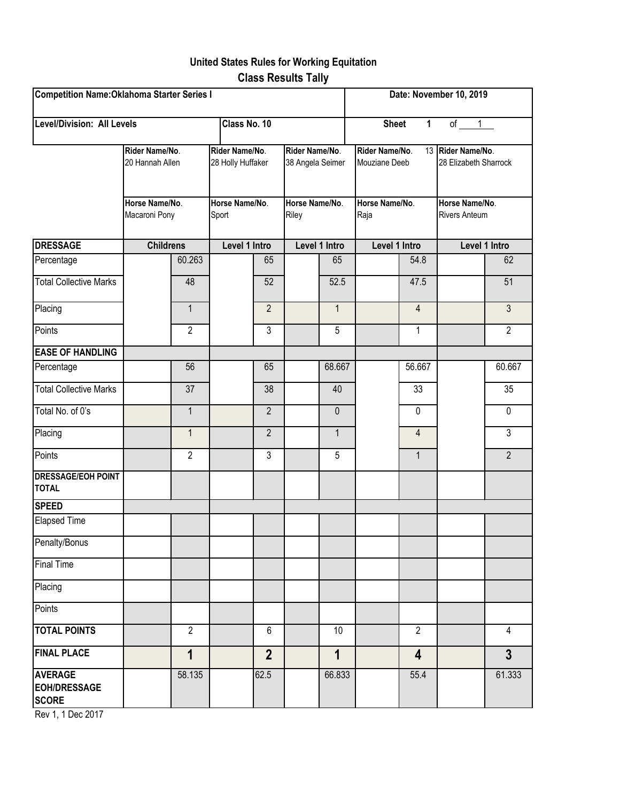## **United States Rules for Working Equitation Class Results Tally**

| Competition Name: Oklahoma Starter Series I<br><b>Level/Division: All Levels</b><br>Class No. 10 |                                                                      |                |                                                                |                |                                                               |              | Date: November 10, 2019<br><b>Sheet</b><br>$\mathbf{1}$<br>of<br>1 |                |                                                                                      |                |
|--------------------------------------------------------------------------------------------------|----------------------------------------------------------------------|----------------|----------------------------------------------------------------|----------------|---------------------------------------------------------------|--------------|--------------------------------------------------------------------|----------------|--------------------------------------------------------------------------------------|----------------|
|                                                                                                  |                                                                      |                |                                                                |                |                                                               |              |                                                                    |                |                                                                                      |                |
|                                                                                                  | Rider Name/No.<br>20 Hannah Allen<br>Horse Name/No.<br>Macaroni Pony |                | Rider Name/No.<br>28 Holly Huffaker<br>Horse Name/No.<br>Sport |                | Rider Name/No.<br>38 Angela Seimer<br>Horse Name/No.<br>Riley |              | Rider Name/No.<br>Mouziane Deeb<br>Horse Name/No.<br>Raja          |                | 13 Rider Name/No.<br>28 Elizabeth Sharrock<br>Horse Name/No.<br><b>Rivers Anteum</b> |                |
|                                                                                                  |                                                                      |                |                                                                |                |                                                               |              |                                                                    |                |                                                                                      |                |
| <b>DRESSAGE</b>                                                                                  | <b>Childrens</b>                                                     |                | Level 1 Intro                                                  |                | Level 1 Intro                                                 |              | Level 1 Intro                                                      |                | Level 1 Intro                                                                        |                |
| Percentage                                                                                       |                                                                      | 60.263         |                                                                | 65             |                                                               | 65           |                                                                    | 54.8           |                                                                                      | 62             |
| <b>Total Collective Marks</b>                                                                    |                                                                      | 48             |                                                                | 52             |                                                               | 52.5         |                                                                    | 47.5           |                                                                                      | 51             |
| Placing                                                                                          |                                                                      | $\mathbf{1}$   |                                                                | $\overline{2}$ |                                                               | $\mathbf{1}$ |                                                                    | $\overline{4}$ |                                                                                      | $\overline{3}$ |
| Points                                                                                           |                                                                      | $\overline{2}$ |                                                                | 3              |                                                               | 5            |                                                                    | 1              |                                                                                      | $\overline{2}$ |
| <b>EASE OF HANDLING</b>                                                                          |                                                                      |                |                                                                |                |                                                               |              |                                                                    |                |                                                                                      |                |
| Percentage                                                                                       |                                                                      | 56             |                                                                | 65             |                                                               | 68.667       |                                                                    | 56.667         |                                                                                      | 60.667         |
| <b>Total Collective Marks</b>                                                                    |                                                                      | 37             |                                                                | 38             |                                                               | 40           |                                                                    | 33             |                                                                                      | 35             |
| Total No. of 0's                                                                                 |                                                                      | $\mathbf{1}$   |                                                                | $\overline{2}$ |                                                               | 0            |                                                                    | $\mathbf 0$    |                                                                                      | 0              |
| Placing                                                                                          |                                                                      | $\mathbf{1}$   |                                                                | $\overline{2}$ |                                                               | $\mathbf{1}$ |                                                                    | 4              |                                                                                      | 3              |
| Points                                                                                           |                                                                      | $\overline{2}$ |                                                                | $\mathfrak{Z}$ |                                                               | 5            |                                                                    | $\mathbf{1}$   |                                                                                      | $\overline{2}$ |
| <b>DRESSAGE/EOH POINT</b><br><b>TOTAL</b>                                                        |                                                                      |                |                                                                |                |                                                               |              |                                                                    |                |                                                                                      |                |
| <b>SPEED</b>                                                                                     |                                                                      |                |                                                                |                |                                                               |              |                                                                    |                |                                                                                      |                |
| <b>Elapsed Time</b>                                                                              |                                                                      |                |                                                                |                |                                                               |              |                                                                    |                |                                                                                      |                |
| Penalty/Bonus                                                                                    |                                                                      |                |                                                                |                |                                                               |              |                                                                    |                |                                                                                      |                |
| <b>Final Time</b>                                                                                |                                                                      |                |                                                                |                |                                                               |              |                                                                    |                |                                                                                      |                |
| Placing                                                                                          |                                                                      |                |                                                                |                |                                                               |              |                                                                    |                |                                                                                      |                |
| Points                                                                                           |                                                                      |                |                                                                |                |                                                               |              |                                                                    |                |                                                                                      |                |
| <b>TOTAL POINTS</b>                                                                              |                                                                      | $\overline{2}$ |                                                                | $6\phantom{a}$ |                                                               | 10           |                                                                    | $\overline{2}$ |                                                                                      | 4              |
| <b>FINAL PLACE</b>                                                                               |                                                                      | $\overline{1}$ |                                                                | $\overline{2}$ |                                                               | $\mathbf 1$  |                                                                    | 4              |                                                                                      | $\overline{3}$ |
| <b>AVERAGE</b><br><b>EOH/DRESSAGE</b><br><b>SCORE</b>                                            |                                                                      | 58.135         |                                                                | 62.5           |                                                               | 66.833       |                                                                    | 55.4           |                                                                                      | 61.333         |

Rev 1, 1 Dec 2017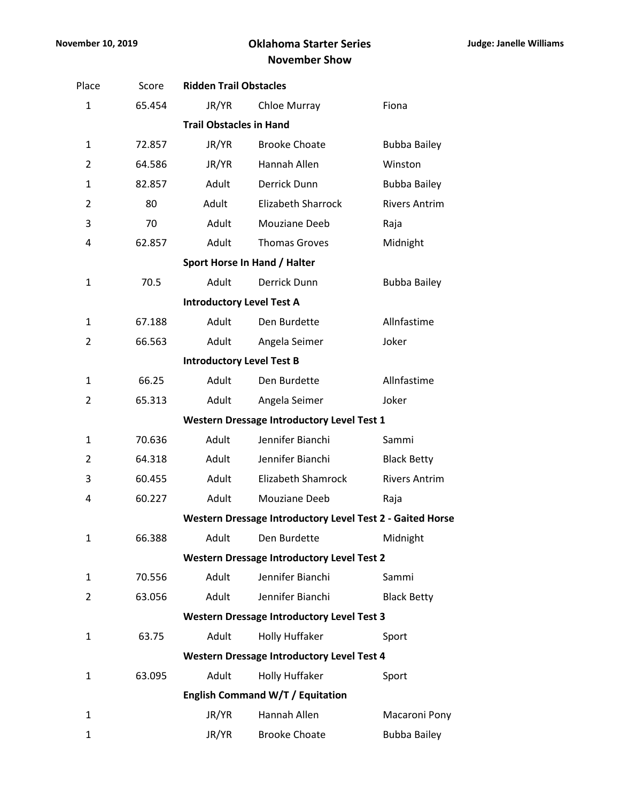## **November 10, 2019 Oklahoma Starter Series November Show**

| Place          | Score  | <b>Ridden Trail Obstacles</b>    |                                                           |                      |
|----------------|--------|----------------------------------|-----------------------------------------------------------|----------------------|
| 1              | 65.454 | JR/YR                            | Chloe Murray                                              | Fiona                |
|                |        | <b>Trail Obstacles in Hand</b>   |                                                           |                      |
| 1              | 72.857 | JR/YR                            | <b>Brooke Choate</b>                                      | <b>Bubba Bailey</b>  |
| 2              | 64.586 | JR/YR                            | Hannah Allen                                              | Winston              |
| $\mathbf{1}$   | 82.857 | Adult                            | Derrick Dunn                                              | <b>Bubba Bailey</b>  |
| $\overline{2}$ | 80     | Adult                            | <b>Elizabeth Sharrock</b>                                 | <b>Rivers Antrim</b> |
| 3              | 70     | Adult                            | Mouziane Deeb                                             | Raja                 |
| 4              | 62.857 | Adult                            | <b>Thomas Groves</b>                                      | Midnight             |
|                |        |                                  | Sport Horse In Hand / Halter                              |                      |
| $\mathbf 1$    | 70.5   | Adult                            | Derrick Dunn                                              | <b>Bubba Bailey</b>  |
|                |        | <b>Introductory Level Test A</b> |                                                           |                      |
| $\mathbf{1}$   | 67.188 | Adult                            | Den Burdette                                              | Allnfastime          |
| 2              | 66.563 | Adult                            | Angela Seimer                                             | Joker                |
|                |        | <b>Introductory Level Test B</b> |                                                           |                      |
| $\mathbf{1}$   | 66.25  | Adult                            | Den Burdette                                              | Allnfastime          |
| 2              | 65.313 | Adult                            | Angela Seimer                                             | Joker                |
|                |        |                                  | <b>Western Dressage Introductory Level Test 1</b>         |                      |
| 1              | 70.636 | Adult                            | Jennifer Bianchi                                          | Sammi                |
| 2              | 64.318 | Adult                            | Jennifer Bianchi                                          | <b>Black Betty</b>   |
| 3              | 60.455 | Adult                            | <b>Elizabeth Shamrock</b>                                 | <b>Rivers Antrim</b> |
| 4              | 60.227 | Adult                            | Mouziane Deeb                                             | Raja                 |
|                |        |                                  | Western Dressage Introductory Level Test 2 - Gaited Horse |                      |
| 1              | 66.388 | Adult                            | Den Burdette                                              | Midnight             |
|                |        |                                  | <b>Western Dressage Introductory Level Test 2</b>         |                      |
| 1              | 70.556 | Adult                            | Jennifer Bianchi                                          | Sammi                |
| 2              | 63.056 | Adult                            | Jennifer Bianchi                                          | <b>Black Betty</b>   |
|                |        |                                  | <b>Western Dressage Introductory Level Test 3</b>         |                      |
| 1              | 63.75  | Adult                            | Holly Huffaker                                            | Sport                |
|                |        |                                  | <b>Western Dressage Introductory Level Test 4</b>         |                      |
| 1              | 63.095 | Adult                            | Holly Huffaker                                            | Sport                |
|                |        |                                  | English Command W/T / Equitation                          |                      |
| 1              |        | JR/YR                            | Hannah Allen                                              | Macaroni Pony        |
| 1              |        | JR/YR                            | <b>Brooke Choate</b>                                      | <b>Bubba Bailey</b>  |